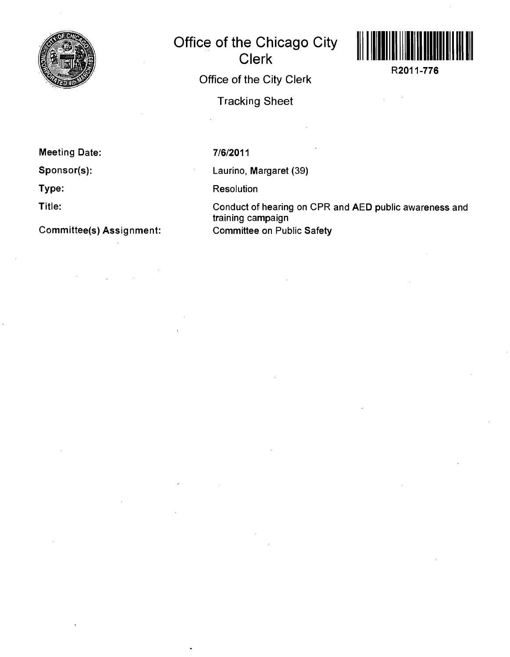

**Office of the Chicago City Clerk Office of the City Clerk Tracking Sheet** 



**R2011-776** 

**Meeting Date:** 

**Sponsor(s):** 

**Type:** 

**Title:** 

**Committee(s) Assignment:** 

7/6/2011

Laurino, Margaret (39)

Resolution

Conduct of hearing on CPR and AED public awareness and training campaign Committee on Public Safety